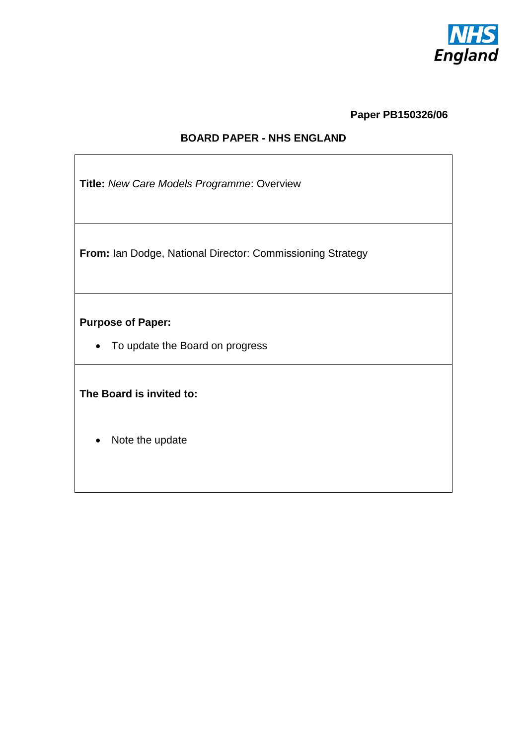

**Paper PB150326/06**

## **BOARD PAPER - NHS ENGLAND**

**Title:** *New Care Models Programme*: Overview

**From:** Ian Dodge, National Director: Commissioning Strategy

**Purpose of Paper:**

• To update the Board on progress

**The Board is invited to:**

• Note the update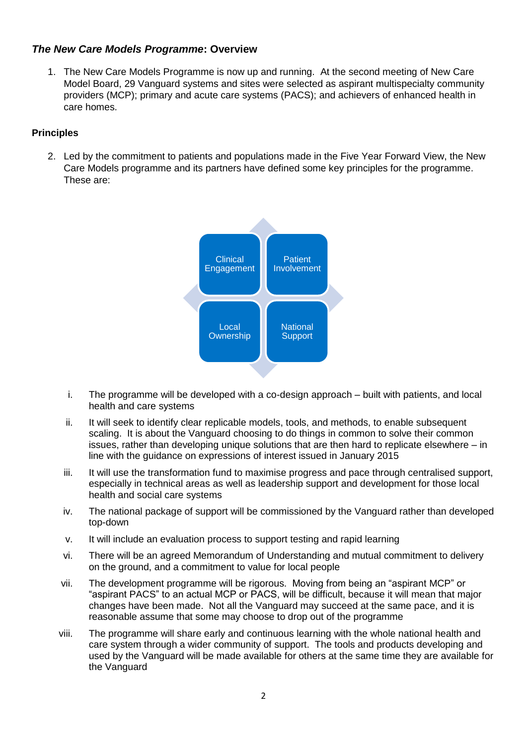## *The New Care Models Programme***: Overview**

1. The New Care Models Programme is now up and running. At the second meeting of New Care Model Board, 29 Vanguard systems and sites were selected as aspirant multispecialty community providers (MCP); primary and acute care systems (PACS); and achievers of enhanced health in care homes.

#### **Principles**

2. Led by the commitment to patients and populations made in the Five Year Forward View, the New Care Models programme and its partners have defined some key principles for the programme. These are:



- i. The programme will be developed with a co-design approach built with patients, and local health and care systems
- ii. It will seek to identify clear replicable models, tools, and methods, to enable subsequent scaling. It is about the Vanguard choosing to do things in common to solve their common issues, rather than developing unique solutions that are then hard to replicate elsewhere – in line with the guidance on expressions of interest issued in January 2015
- iii. It will use the transformation fund to maximise progress and pace through centralised support, especially in technical areas as well as leadership support and development for those local health and social care systems
- iv. The national package of support will be commissioned by the Vanguard rather than developed top-down
- v. It will include an evaluation process to support testing and rapid learning
- vi. There will be an agreed Memorandum of Understanding and mutual commitment to delivery on the ground, and a commitment to value for local people
- vii. The development programme will be rigorous. Moving from being an "aspirant MCP" or "aspirant PACS" to an actual MCP or PACS, will be difficult, because it will mean that major changes have been made. Not all the Vanguard may succeed at the same pace, and it is reasonable assume that some may choose to drop out of the programme
- viii. The programme will share early and continuous learning with the whole national health and care system through a wider community of support. The tools and products developing and used by the Vanguard will be made available for others at the same time they are available for the Vanguard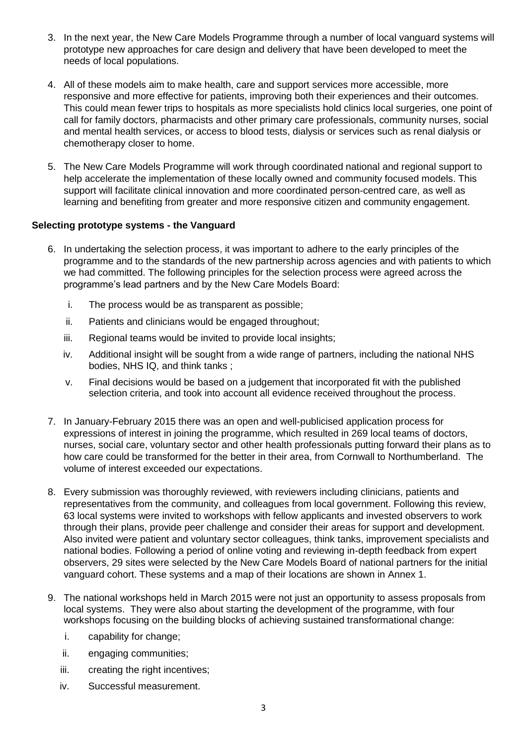- 3. In the next year, the New Care Models Programme through a number of local vanguard systems will prototype new approaches for care design and delivery that have been developed to meet the needs of local populations.
- 4. All of these models aim to make health, care and support services more accessible, more responsive and more effective for patients, improving both their experiences and their outcomes. This could mean fewer trips to hospitals as more specialists hold clinics local surgeries, one point of call for family doctors, pharmacists and other primary care professionals, community nurses, social and mental health services, or access to blood tests, dialysis or services such as renal dialysis or chemotherapy closer to home.
- 5. The New Care Models Programme will work through coordinated national and regional support to help accelerate the implementation of these locally owned and community focused models. This support will facilitate clinical innovation and more coordinated person-centred care, as well as learning and benefiting from greater and more responsive citizen and community engagement.

#### **Selecting prototype systems - the Vanguard**

- 6. In undertaking the selection process, it was important to adhere to the early principles of the programme and to the standards of the new partnership across agencies and with patients to which we had committed. The following principles for the selection process were agreed across the programme's lead partners and by the New Care Models Board:
	- i. The process would be as transparent as possible;
	- ii. Patients and clinicians would be engaged throughout;
	- iii. Regional teams would be invited to provide local insights;
	- iv. Additional insight will be sought from a wide range of partners, including the national NHS bodies, NHS IQ, and think tanks ;
	- v. Final decisions would be based on a judgement that incorporated fit with the published selection criteria, and took into account all evidence received throughout the process.
- 7. In January-February 2015 there was an open and well-publicised application process for expressions of interest in joining the programme, which resulted in 269 local teams of doctors, nurses, social care, voluntary sector and other health professionals putting forward their plans as to how care could be transformed for the better in their area, from Cornwall to Northumberland. The volume of interest exceeded our expectations.
- 8. Every submission was thoroughly reviewed, with reviewers including clinicians, patients and representatives from the community, and colleagues from local government. Following this review, 63 local systems were invited to workshops with fellow applicants and invested observers to work through their plans, provide peer challenge and consider their areas for support and development. Also invited were patient and voluntary sector colleagues, think tanks, improvement specialists and national bodies. Following a period of online voting and reviewing in-depth feedback from expert observers, 29 sites were selected by the New Care Models Board of national partners for the initial vanguard cohort. These systems and a map of their locations are shown in Annex 1.
- 9. The national workshops held in March 2015 were not just an opportunity to assess proposals from local systems. They were also about starting the development of the programme, with four workshops focusing on the building blocks of achieving sustained transformational change:
	- i. capability for change;
	- ii. engaging communities;
	- iii. creating the right incentives;
	- iv. Successful measurement.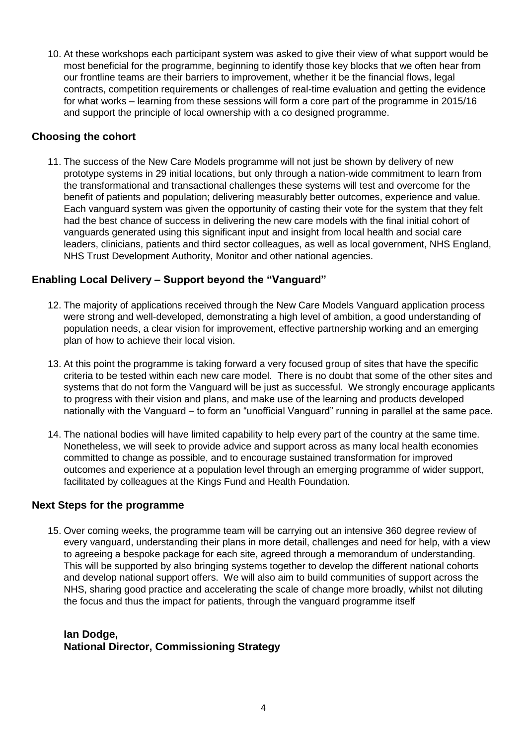10. At these workshops each participant system was asked to give their view of what support would be most beneficial for the programme, beginning to identify those key blocks that we often hear from our frontline teams are their barriers to improvement, whether it be the financial flows, legal contracts, competition requirements or challenges of real-time evaluation and getting the evidence for what works – learning from these sessions will form a core part of the programme in 2015/16 and support the principle of local ownership with a co designed programme.

## **Choosing the cohort**

11. The success of the New Care Models programme will not just be shown by delivery of new prototype systems in 29 initial locations, but only through a nation-wide commitment to learn from the transformational and transactional challenges these systems will test and overcome for the benefit of patients and population; delivering measurably better outcomes, experience and value. Each vanguard system was given the opportunity of casting their vote for the system that they felt had the best chance of success in delivering the new care models with the final initial cohort of vanguards generated using this significant input and insight from local health and social care leaders, clinicians, patients and third sector colleagues, as well as local government, NHS England, NHS Trust Development Authority, Monitor and other national agencies.

### **Enabling Local Delivery – Support beyond the "Vanguard"**

- 12. The majority of applications received through the New Care Models Vanguard application process were strong and well-developed, demonstrating a high level of ambition, a good understanding of population needs, a clear vision for improvement, effective partnership working and an emerging plan of how to achieve their local vision.
- 13. At this point the programme is taking forward a very focused group of sites that have the specific criteria to be tested within each new care model. There is no doubt that some of the other sites and systems that do not form the Vanguard will be just as successful. We strongly encourage applicants to progress with their vision and plans, and make use of the learning and products developed nationally with the Vanguard – to form an "unofficial Vanguard" running in parallel at the same pace.
- 14. The national bodies will have limited capability to help every part of the country at the same time. Nonetheless, we will seek to provide advice and support across as many local health economies committed to change as possible, and to encourage sustained transformation for improved outcomes and experience at a population level through an emerging programme of wider support, facilitated by colleagues at the Kings Fund and Health Foundation.

### **Next Steps for the programme**

15. Over coming weeks, the programme team will be carrying out an intensive 360 degree review of every vanguard, understanding their plans in more detail, challenges and need for help, with a view to agreeing a bespoke package for each site, agreed through a memorandum of understanding. This will be supported by also bringing systems together to develop the different national cohorts and develop national support offers. We will also aim to build communities of support across the NHS, sharing good practice and accelerating the scale of change more broadly, whilst not diluting the focus and thus the impact for patients, through the vanguard programme itself

#### **Ian Dodge, National Director, Commissioning Strategy**